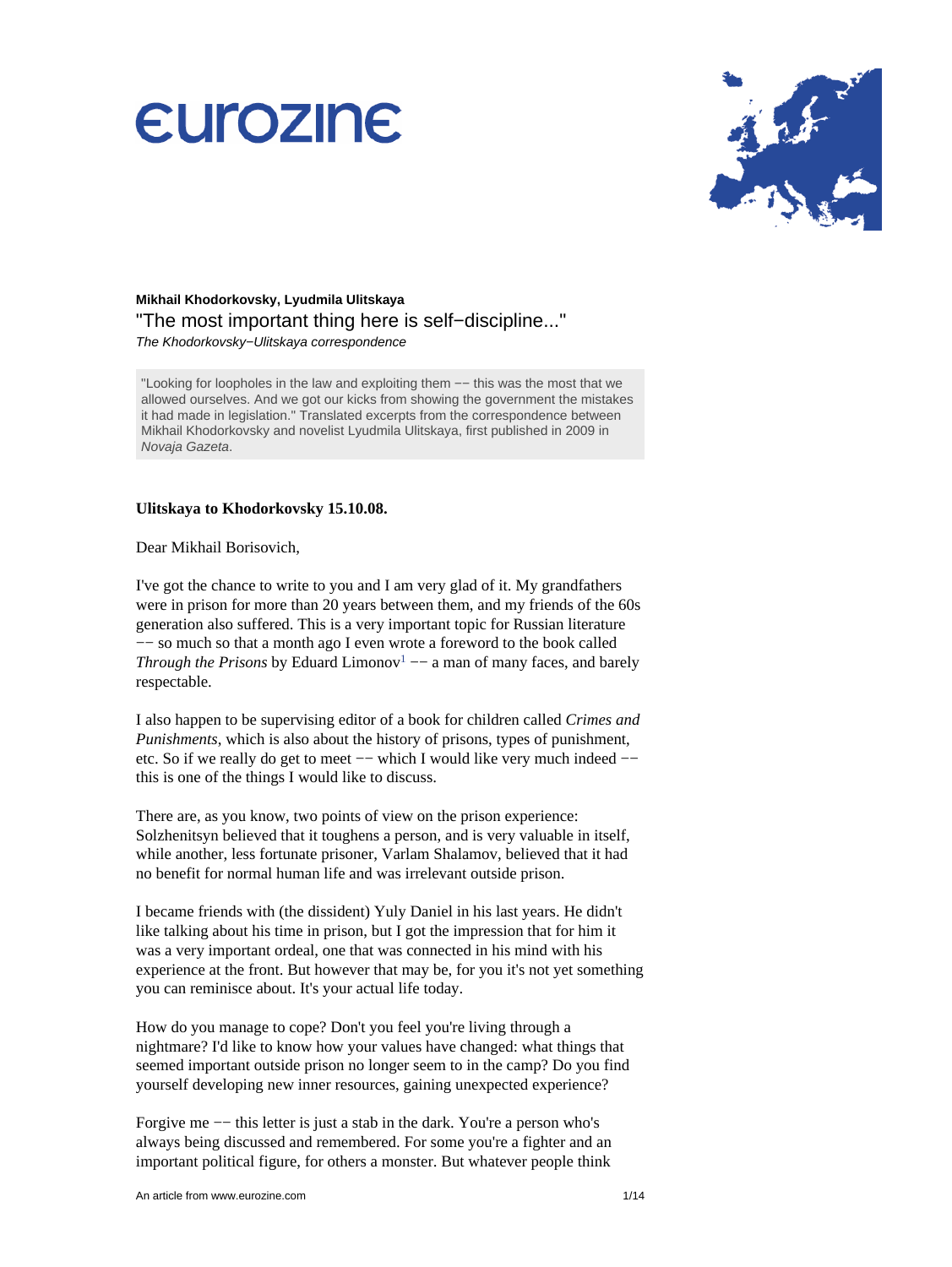

## **Mikhail Khodorkovsky, Lyudmila Ulitskaya** "The most important thing here is self−discipline..." The Khodorkovsky−Ulitskaya correspondence

"Looking for loopholes in the law and exploiting them −− this was the most that we allowed ourselves. And we got our kicks from showing the government the mistakes it had made in legislation." Translated excerpts from the correspondence between Mikhail Khodorkovsky and novelist Lyudmila Ulitskaya, first published in 2009 in Novaja Gazeta.

## **Ulitskaya to Khodorkovsky 15.10.08.**

Dear Mikhail Borisovich,

I've got the chance to write to you and I am very glad of it. My grandfathers were in prison for more than 20 years between them, and my friends of the 60s generation also suffered. This is a very important topic for Russian literature −− so much so that a month ago I even wrote a foreword to the book called *Through the Prisons* by Eduard Limono[v](#page-12-0)<sup>1</sup>  $-$  a man of many faces, and barely respectable.

<span id="page-0-0"></span>I also happen to be supervising editor of a book for children called *Crimes and Punishments*, which is also about the history of prisons, types of punishment, etc. So if we really do get to meet −− which I would like very much indeed − this is one of the things I would like to discuss.

There are, as you know, two points of view on the prison experience: Solzhenitsyn believed that it toughens a person, and is very valuable in itself, while another, less fortunate prisoner, Varlam Shalamov, believed that it had no benefit for normal human life and was irrelevant outside prison.

I became friends with (the dissident) Yuly Daniel in his last years. He didn't like talking about his time in prison, but I got the impression that for him it was a very important ordeal, one that was connected in his mind with his experience at the front. But however that may be, for you it's not yet something you can reminisce about. It's your actual life today.

How do you manage to cope? Don't you feel you're living through a nightmare? I'd like to know how your values have changed: what things that seemed important outside prison no longer seem to in the camp? Do you find yourself developing new inner resources, gaining unexpected experience?

Forgive me −− this letter is just a stab in the dark. You're a person who's always being discussed and remembered. For some you're a fighter and an important political figure, for others a monster. But whatever people think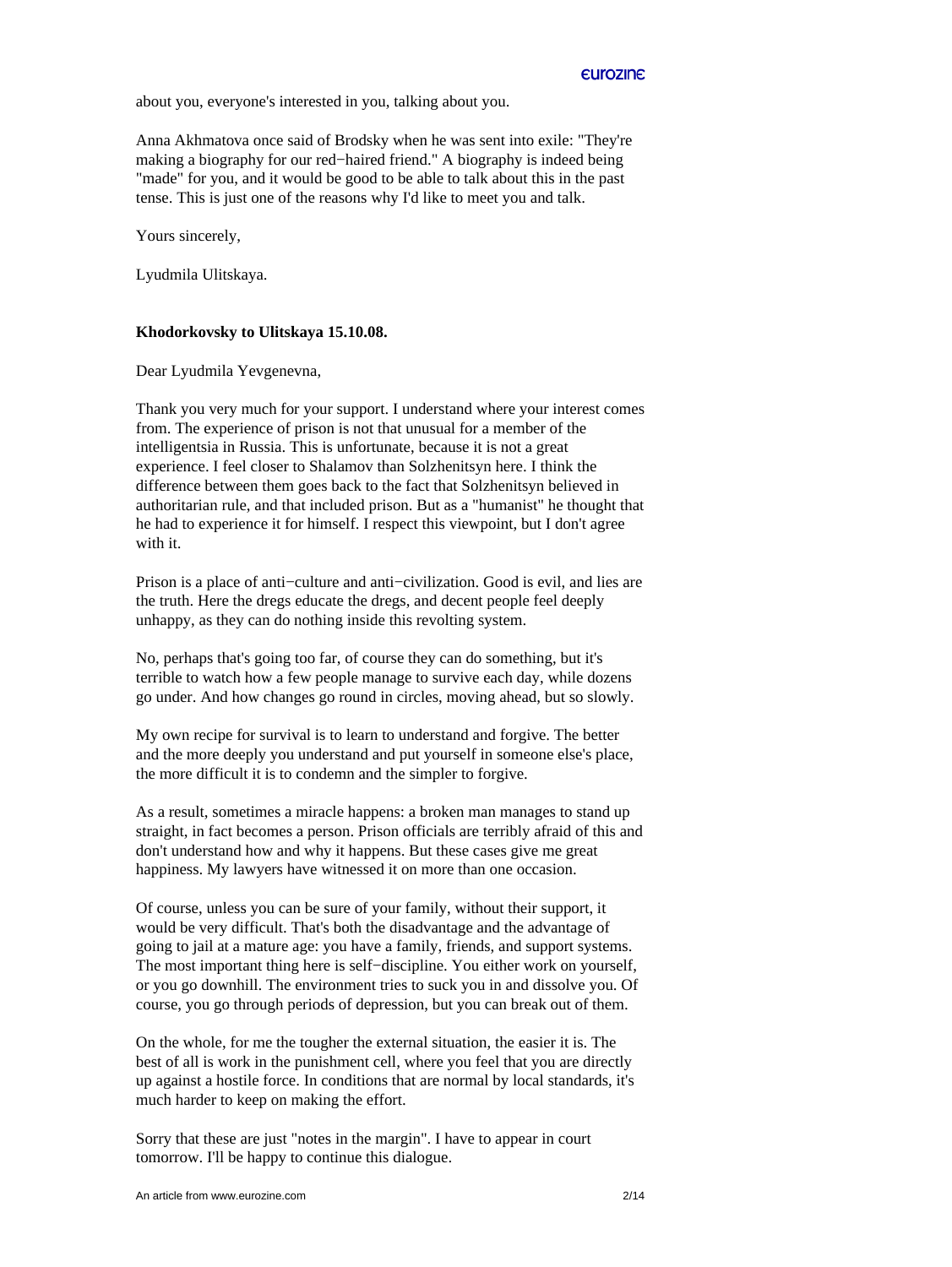about you, everyone's interested in you, talking about you.

Anna Akhmatova once said of Brodsky when he was sent into exile: "They're making a biography for our red−haired friend." A biography is indeed being "made" for you, and it would be good to be able to talk about this in the past tense. This is just one of the reasons why I'd like to meet you and talk.

Yours sincerely,

Lyudmila Ulitskaya.

## **Khodorkovsky to Ulitskaya 15.10.08.**

Dear Lyudmila Yevgenevna,

Thank you very much for your support. I understand where your interest comes from. The experience of prison is not that unusual for a member of the intelligentsia in Russia. This is unfortunate, because it is not a great experience. I feel closer to Shalamov than Solzhenitsyn here. I think the difference between them goes back to the fact that Solzhenitsyn believed in authoritarian rule, and that included prison. But as a "humanist" he thought that he had to experience it for himself. I respect this viewpoint, but I don't agree with it.

Prison is a place of anti−culture and anti−civilization. Good is evil, and lies are the truth. Here the dregs educate the dregs, and decent people feel deeply unhappy, as they can do nothing inside this revolting system.

No, perhaps that's going too far, of course they can do something, but it's terrible to watch how a few people manage to survive each day, while dozens go under. And how changes go round in circles, moving ahead, but so slowly.

My own recipe for survival is to learn to understand and forgive. The better and the more deeply you understand and put yourself in someone else's place, the more difficult it is to condemn and the simpler to forgive.

As a result, sometimes a miracle happens: a broken man manages to stand up straight, in fact becomes a person. Prison officials are terribly afraid of this and don't understand how and why it happens. But these cases give me great happiness. My lawyers have witnessed it on more than one occasion.

Of course, unless you can be sure of your family, without their support, it would be very difficult. That's both the disadvantage and the advantage of going to jail at a mature age: you have a family, friends, and support systems. The most important thing here is self−discipline. You either work on yourself, or you go downhill. The environment tries to suck you in and dissolve you. Of course, you go through periods of depression, but you can break out of them.

On the whole, for me the tougher the external situation, the easier it is. The best of all is work in the punishment cell, where you feel that you are directly up against a hostile force. In conditions that are normal by local standards, it's much harder to keep on making the effort.

Sorry that these are just "notes in the margin". I have to appear in court tomorrow. I'll be happy to continue this dialogue.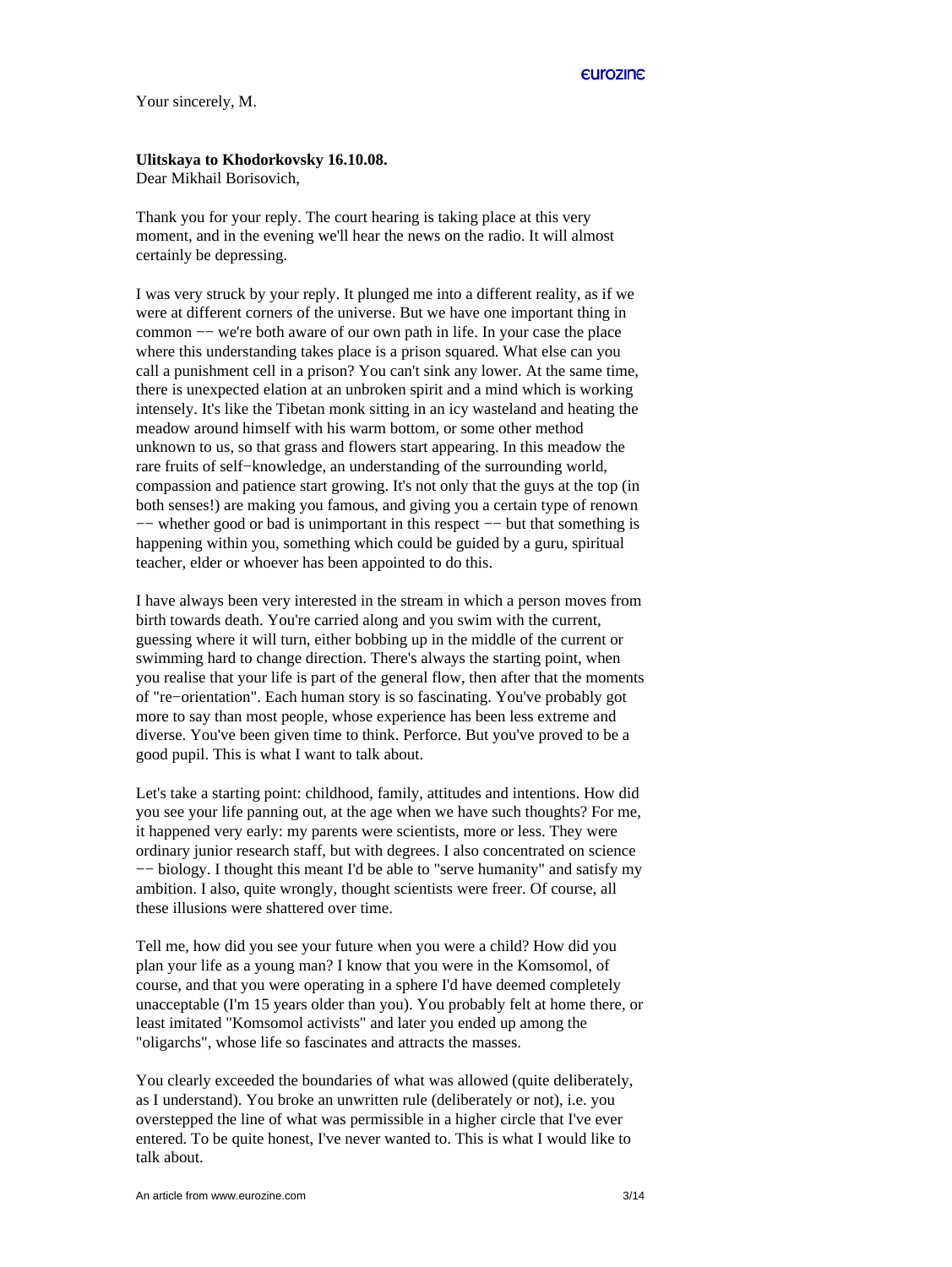Your sincerely, M.

## **Ulitskaya to Khodorkovsky 16.10.08.**

Dear Mikhail Borisovich,

Thank you for your reply. The court hearing is taking place at this very moment, and in the evening we'll hear the news on the radio. It will almost certainly be depressing.

I was very struck by your reply. It plunged me into a different reality, as if we were at different corners of the universe. But we have one important thing in common −− we're both aware of our own path in life. In your case the place where this understanding takes place is a prison squared. What else can you call a punishment cell in a prison? You can't sink any lower. At the same time, there is unexpected elation at an unbroken spirit and a mind which is working intensely. It's like the Tibetan monk sitting in an icy wasteland and heating the meadow around himself with his warm bottom, or some other method unknown to us, so that grass and flowers start appearing. In this meadow the rare fruits of self−knowledge, an understanding of the surrounding world, compassion and patience start growing. It's not only that the guys at the top (in both senses!) are making you famous, and giving you a certain type of renown −− whether good or bad is unimportant in this respect −− but that something is happening within you, something which could be guided by a guru, spiritual teacher, elder or whoever has been appointed to do this.

I have always been very interested in the stream in which a person moves from birth towards death. You're carried along and you swim with the current, guessing where it will turn, either bobbing up in the middle of the current or swimming hard to change direction. There's always the starting point, when you realise that your life is part of the general flow, then after that the moments of "re−orientation". Each human story is so fascinating. You've probably got more to say than most people, whose experience has been less extreme and diverse. You've been given time to think. Perforce. But you've proved to be a good pupil. This is what I want to talk about.

Let's take a starting point: childhood, family, attitudes and intentions. How did you see your life panning out, at the age when we have such thoughts? For me, it happened very early: my parents were scientists, more or less. They were ordinary junior research staff, but with degrees. I also concentrated on science −− biology. I thought this meant I'd be able to "serve humanity" and satisfy my ambition. I also, quite wrongly, thought scientists were freer. Of course, all these illusions were shattered over time.

Tell me, how did you see your future when you were a child? How did you plan your life as a young man? I know that you were in the Komsomol, of course, and that you were operating in a sphere I'd have deemed completely unacceptable (I'm 15 years older than you). You probably felt at home there, or least imitated "Komsomol activists" and later you ended up among the "oligarchs", whose life so fascinates and attracts the masses.

You clearly exceeded the boundaries of what was allowed (quite deliberately, as I understand). You broke an unwritten rule (deliberately or not), i.e. you overstepped the line of what was permissible in a higher circle that I've ever entered. To be quite honest, I've never wanted to. This is what I would like to talk about.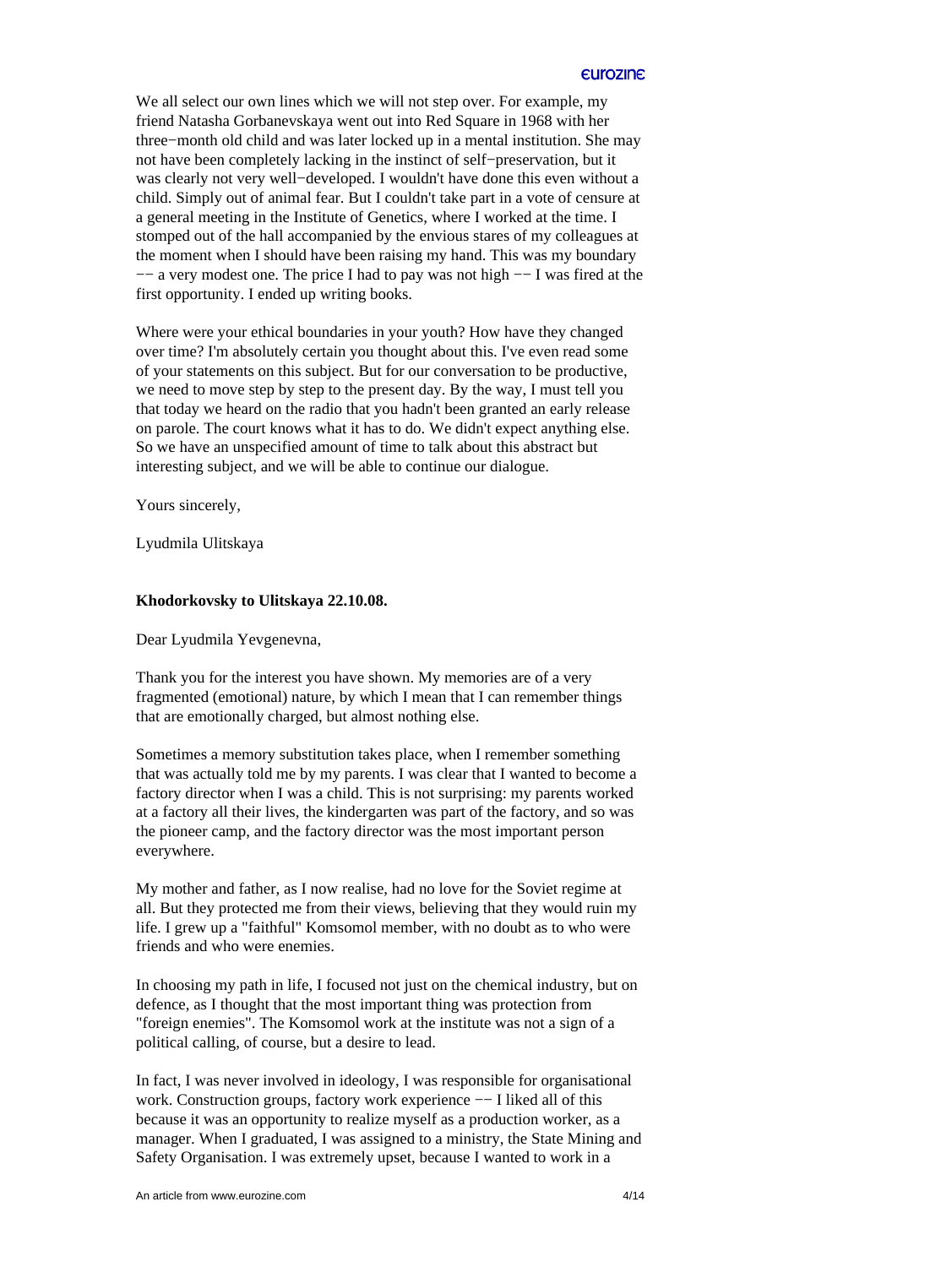We all select our own lines which we will not step over. For example, my friend Natasha Gorbanevskaya went out into Red Square in 1968 with her three−month old child and was later locked up in a mental institution. She may not have been completely lacking in the instinct of self−preservation, but it was clearly not very well−developed. I wouldn't have done this even without a child. Simply out of animal fear. But I couldn't take part in a vote of censure at a general meeting in the Institute of Genetics, where I worked at the time. I stomped out of the hall accompanied by the envious stares of my colleagues at the moment when I should have been raising my hand. This was my boundary −− a very modest one. The price I had to pay was not high −− I was fired at the first opportunity. I ended up writing books.

Where were your ethical boundaries in your youth? How have they changed over time? I'm absolutely certain you thought about this. I've even read some of your statements on this subject. But for our conversation to be productive, we need to move step by step to the present day. By the way, I must tell you that today we heard on the radio that you hadn't been granted an early release on parole. The court knows what it has to do. We didn't expect anything else. So we have an unspecified amount of time to talk about this abstract but interesting subject, and we will be able to continue our dialogue.

Yours sincerely,

Lyudmila Ulitskaya

#### **Khodorkovsky to Ulitskaya 22.10.08.**

Dear Lyudmila Yevgenevna,

Thank you for the interest you have shown. My memories are of a very fragmented (emotional) nature, by which I mean that I can remember things that are emotionally charged, but almost nothing else.

Sometimes a memory substitution takes place, when I remember something that was actually told me by my parents. I was clear that I wanted to become a factory director when I was a child. This is not surprising: my parents worked at a factory all their lives, the kindergarten was part of the factory, and so was the pioneer camp, and the factory director was the most important person everywhere.

My mother and father, as I now realise, had no love for the Soviet regime at all. But they protected me from their views, believing that they would ruin my life. I grew up a "faithful" Komsomol member, with no doubt as to who were friends and who were enemies.

In choosing my path in life, I focused not just on the chemical industry, but on defence, as I thought that the most important thing was protection from "foreign enemies". The Komsomol work at the institute was not a sign of a political calling, of course, but a desire to lead.

In fact, I was never involved in ideology, I was responsible for organisational work. Construction groups, factory work experience  $-−$  I liked all of this because it was an opportunity to realize myself as a production worker, as a manager. When I graduated, I was assigned to a ministry, the State Mining and Safety Organisation. I was extremely upset, because I wanted to work in a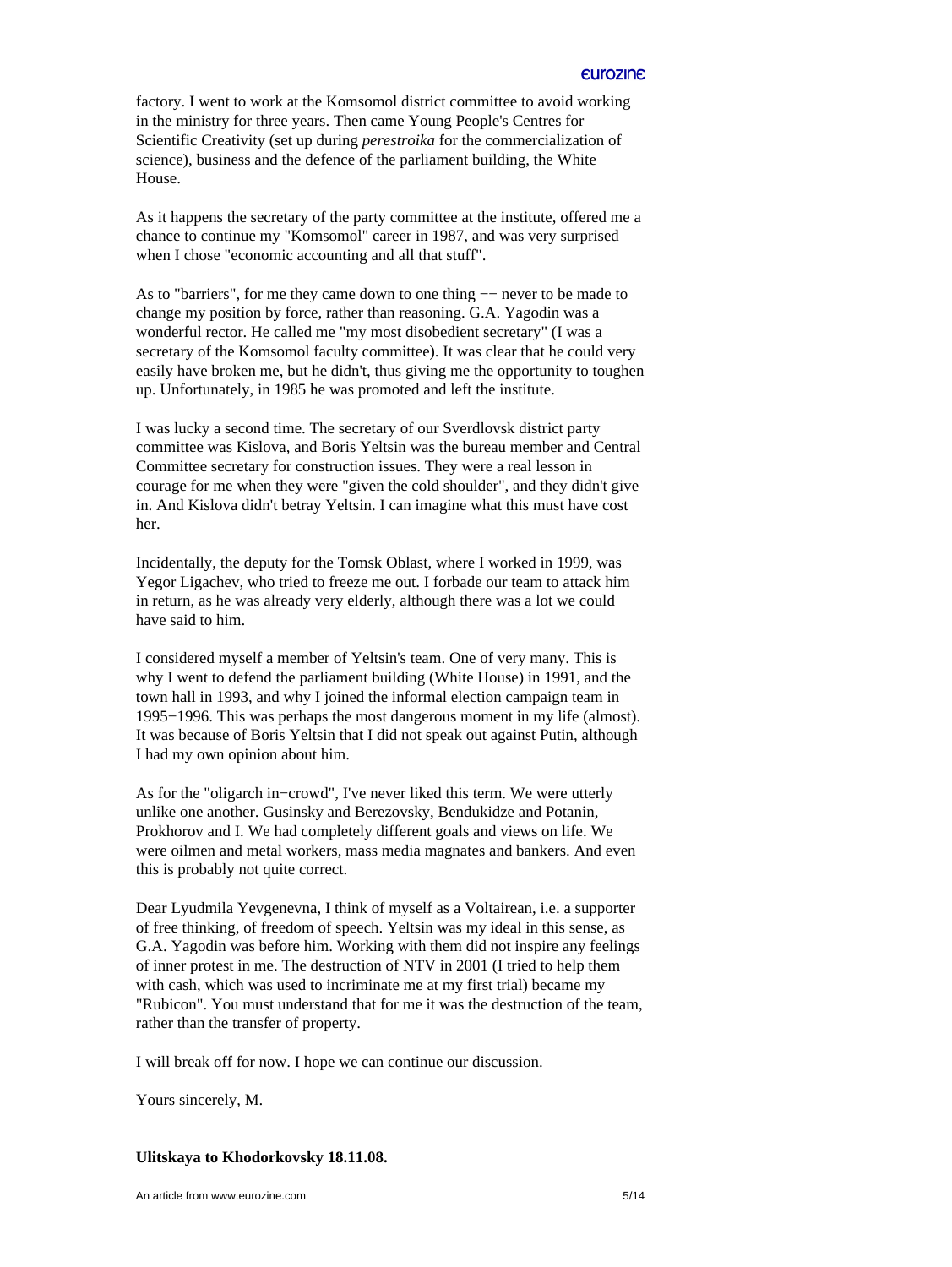factory. I went to work at the Komsomol district committee to avoid working in the ministry for three years. Then came Young People's Centres for Scientific Creativity (set up during *perestroika* for the commercialization of science), business and the defence of the parliament building, the White House.

As it happens the secretary of the party committee at the institute, offered me a chance to continue my "Komsomol" career in 1987, and was very surprised when I chose "economic accounting and all that stuff".

As to "barriers", for me they came down to one thing — never to be made to change my position by force, rather than reasoning. G.A. Yagodin was a wonderful rector. He called me "my most disobedient secretary" (I was a secretary of the Komsomol faculty committee). It was clear that he could very easily have broken me, but he didn't, thus giving me the opportunity to toughen up. Unfortunately, in 1985 he was promoted and left the institute.

I was lucky a second time. The secretary of our Sverdlovsk district party committee was Kislova, and Boris Yeltsin was the bureau member and Central Committee secretary for construction issues. They were a real lesson in courage for me when they were "given the cold shoulder", and they didn't give in. And Kislova didn't betray Yeltsin. I can imagine what this must have cost her.

Incidentally, the deputy for the Tomsk Oblast, where I worked in 1999, was Yegor Ligachev, who tried to freeze me out. I forbade our team to attack him in return, as he was already very elderly, although there was a lot we could have said to him.

I considered myself a member of Yeltsin's team. One of very many. This is why I went to defend the parliament building (White House) in 1991, and the town hall in 1993, and why I joined the informal election campaign team in 1995−1996. This was perhaps the most dangerous moment in my life (almost). It was because of Boris Yeltsin that I did not speak out against Putin, although I had my own opinion about him.

As for the "oligarch in−crowd", I've never liked this term. We were utterly unlike one another. Gusinsky and Berezovsky, Bendukidze and Potanin, Prokhorov and I. We had completely different goals and views on life. We were oilmen and metal workers, mass media magnates and bankers. And even this is probably not quite correct.

Dear Lyudmila Yevgenevna, I think of myself as a Voltairean, i.e. a supporter of free thinking, of freedom of speech. Yeltsin was my ideal in this sense, as G.A. Yagodin was before him. Working with them did not inspire any feelings of inner protest in me. The destruction of NTV in 2001 (I tried to help them with cash, which was used to incriminate me at my first trial) became my "Rubicon". You must understand that for me it was the destruction of the team, rather than the transfer of property.

I will break off for now. I hope we can continue our discussion.

Yours sincerely, M.

#### **Ulitskaya to Khodorkovsky 18.11.08.**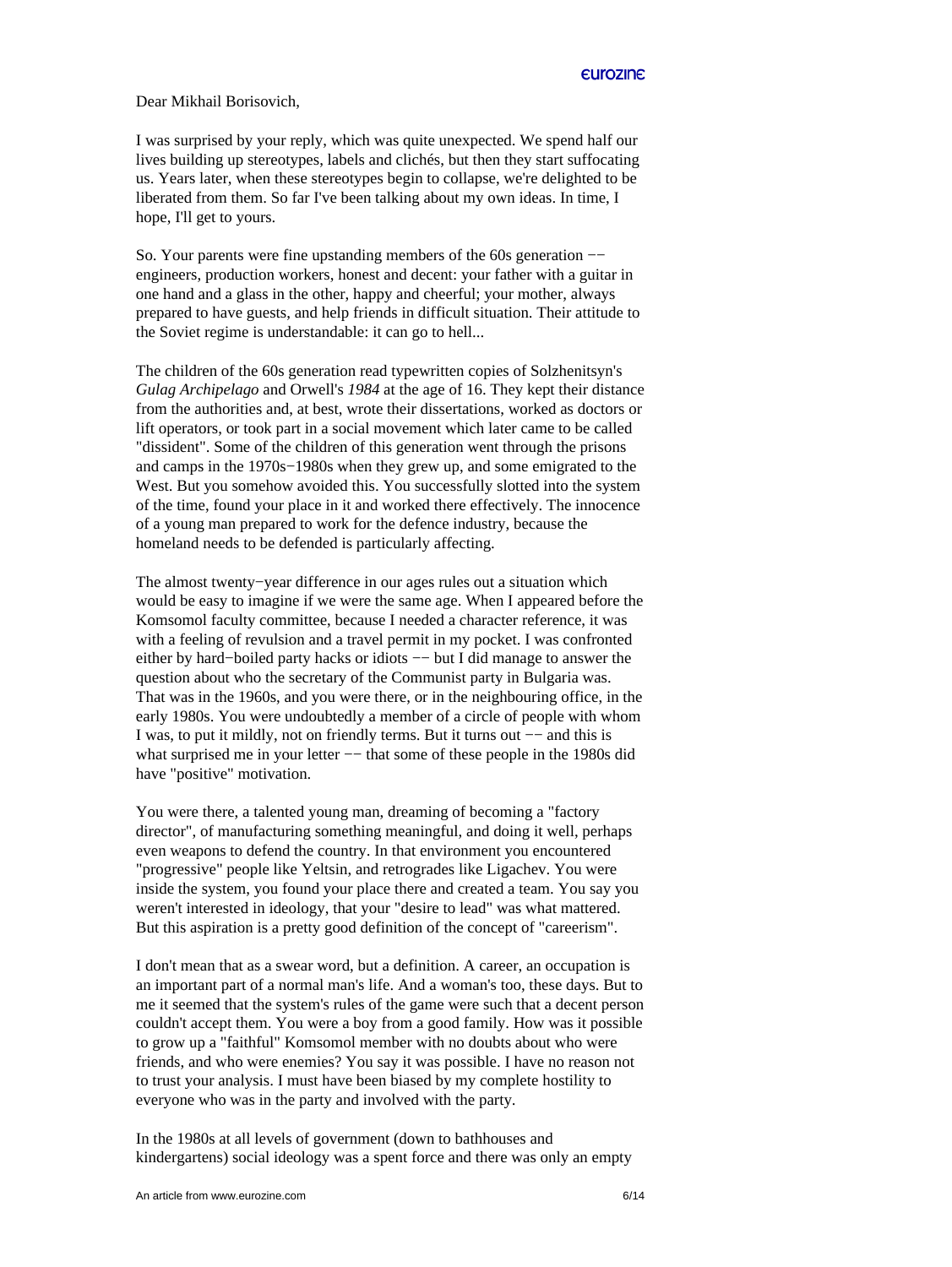Dear Mikhail Borisovich,

I was surprised by your reply, which was quite unexpected. We spend half our lives building up stereotypes, labels and clichés, but then they start suffocating us. Years later, when these stereotypes begin to collapse, we're delighted to be liberated from them. So far I've been talking about my own ideas. In time, I hope, I'll get to yours.

So. Your parents were fine upstanding members of the 60s generation −− engineers, production workers, honest and decent: your father with a guitar in one hand and a glass in the other, happy and cheerful; your mother, always prepared to have guests, and help friends in difficult situation. Their attitude to the Soviet regime is understandable: it can go to hell...

The children of the 60s generation read typewritten copies of Solzhenitsyn's *Gulag Archipelago* and Orwell's *1984* at the age of 16. They kept their distance from the authorities and, at best, wrote their dissertations, worked as doctors or lift operators, or took part in a social movement which later came to be called "dissident". Some of the children of this generation went through the prisons and camps in the 1970s−1980s when they grew up, and some emigrated to the West. But you somehow avoided this. You successfully slotted into the system of the time, found your place in it and worked there effectively. The innocence of a young man prepared to work for the defence industry, because the homeland needs to be defended is particularly affecting.

The almost twenty−year difference in our ages rules out a situation which would be easy to imagine if we were the same age. When I appeared before the Komsomol faculty committee, because I needed a character reference, it was with a feeling of revulsion and a travel permit in my pocket. I was confronted either by hard−boiled party hacks or idiots −− but I did manage to answer the question about who the secretary of the Communist party in Bulgaria was. That was in the 1960s, and you were there, or in the neighbouring office, in the early 1980s. You were undoubtedly a member of a circle of people with whom I was, to put it mildly, not on friendly terms. But it turns out −− and this is what surprised me in your letter −− that some of these people in the 1980s did have "positive" motivation.

You were there, a talented young man, dreaming of becoming a "factory director", of manufacturing something meaningful, and doing it well, perhaps even weapons to defend the country. In that environment you encountered "progressive" people like Yeltsin, and retrogrades like Ligachev. You were inside the system, you found your place there and created a team. You say you weren't interested in ideology, that your "desire to lead" was what mattered. But this aspiration is a pretty good definition of the concept of "careerism".

I don't mean that as a swear word, but a definition. A career, an occupation is an important part of a normal man's life. And a woman's too, these days. But to me it seemed that the system's rules of the game were such that a decent person couldn't accept them. You were a boy from a good family. How was it possible to grow up a "faithful" Komsomol member with no doubts about who were friends, and who were enemies? You say it was possible. I have no reason not to trust your analysis. I must have been biased by my complete hostility to everyone who was in the party and involved with the party.

In the 1980s at all levels of government (down to bathhouses and kindergartens) social ideology was a spent force and there was only an empty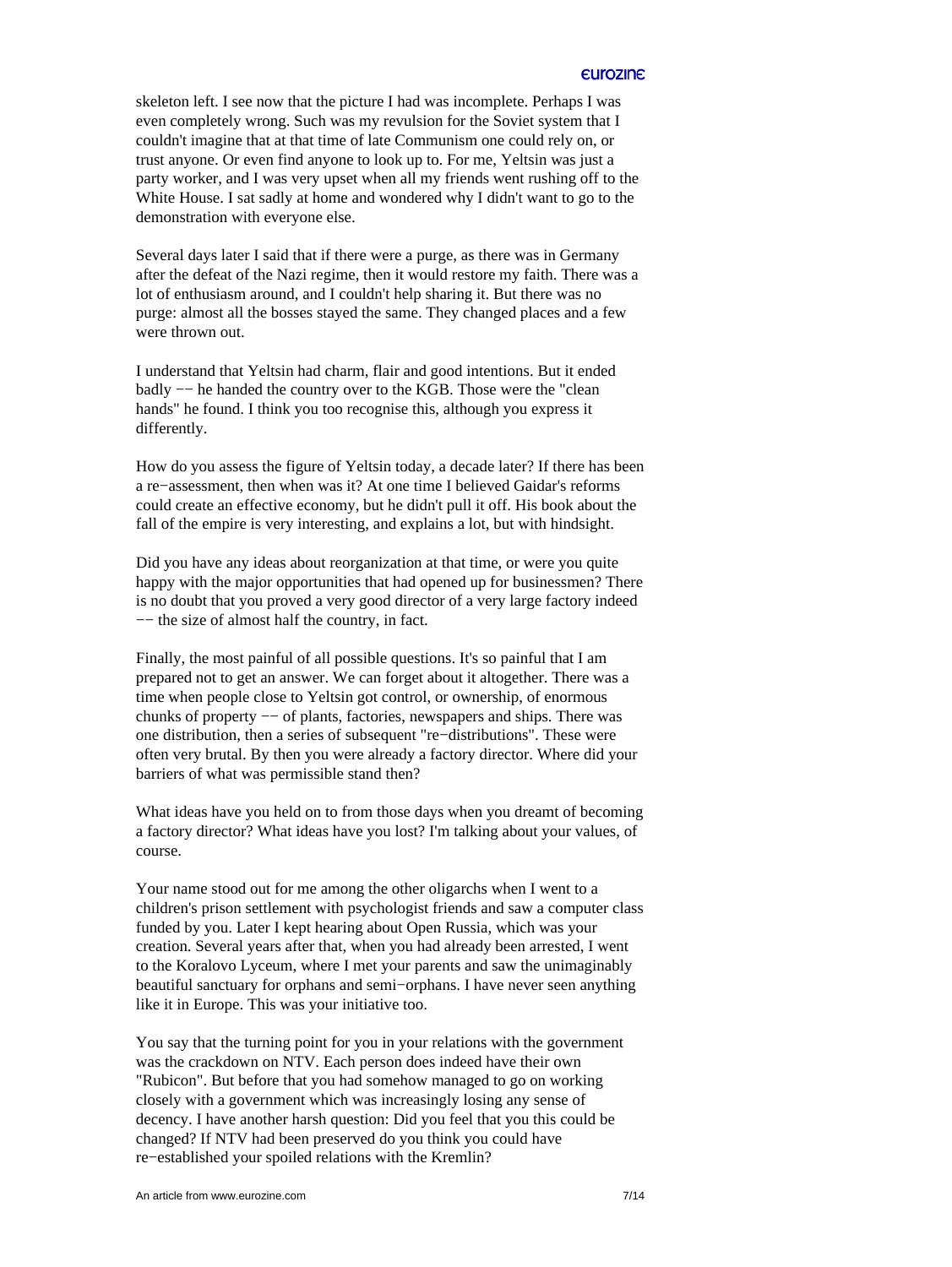skeleton left. I see now that the picture I had was incomplete. Perhaps I was even completely wrong. Such was my revulsion for the Soviet system that I couldn't imagine that at that time of late Communism one could rely on, or trust anyone. Or even find anyone to look up to. For me, Yeltsin was just a party worker, and I was very upset when all my friends went rushing off to the White House. I sat sadly at home and wondered why I didn't want to go to the demonstration with everyone else.

Several days later I said that if there were a purge, as there was in Germany after the defeat of the Nazi regime, then it would restore my faith. There was a lot of enthusiasm around, and I couldn't help sharing it. But there was no purge: almost all the bosses stayed the same. They changed places and a few were thrown out.

I understand that Yeltsin had charm, flair and good intentions. But it ended badly −− he handed the country over to the KGB. Those were the "clean hands" he found. I think you too recognise this, although you express it differently.

How do you assess the figure of Yeltsin today, a decade later? If there has been a re−assessment, then when was it? At one time I believed Gaidar's reforms could create an effective economy, but he didn't pull it off. His book about the fall of the empire is very interesting, and explains a lot, but with hindsight.

Did you have any ideas about reorganization at that time, or were you quite happy with the major opportunities that had opened up for businessmen? There is no doubt that you proved a very good director of a very large factory indeed −− the size of almost half the country, in fact.

Finally, the most painful of all possible questions. It's so painful that I am prepared not to get an answer. We can forget about it altogether. There was a time when people close to Yeltsin got control, or ownership, of enormous chunks of property −− of plants, factories, newspapers and ships. There was one distribution, then a series of subsequent "re−distributions". These were often very brutal. By then you were already a factory director. Where did your barriers of what was permissible stand then?

What ideas have you held on to from those days when you dreamt of becoming a factory director? What ideas have you lost? I'm talking about your values, of course.

Your name stood out for me among the other oligarchs when I went to a children's prison settlement with psychologist friends and saw a computer class funded by you. Later I kept hearing about Open Russia, which was your creation. Several years after that, when you had already been arrested, I went to the Koralovo Lyceum, where I met your parents and saw the unimaginably beautiful sanctuary for orphans and semi−orphans. I have never seen anything like it in Europe. This was your initiative too.

You say that the turning point for you in your relations with the government was the crackdown on NTV. Each person does indeed have their own "Rubicon". But before that you had somehow managed to go on working closely with a government which was increasingly losing any sense of decency. I have another harsh question: Did you feel that you this could be changed? If NTV had been preserved do you think you could have re−established your spoiled relations with the Kremlin?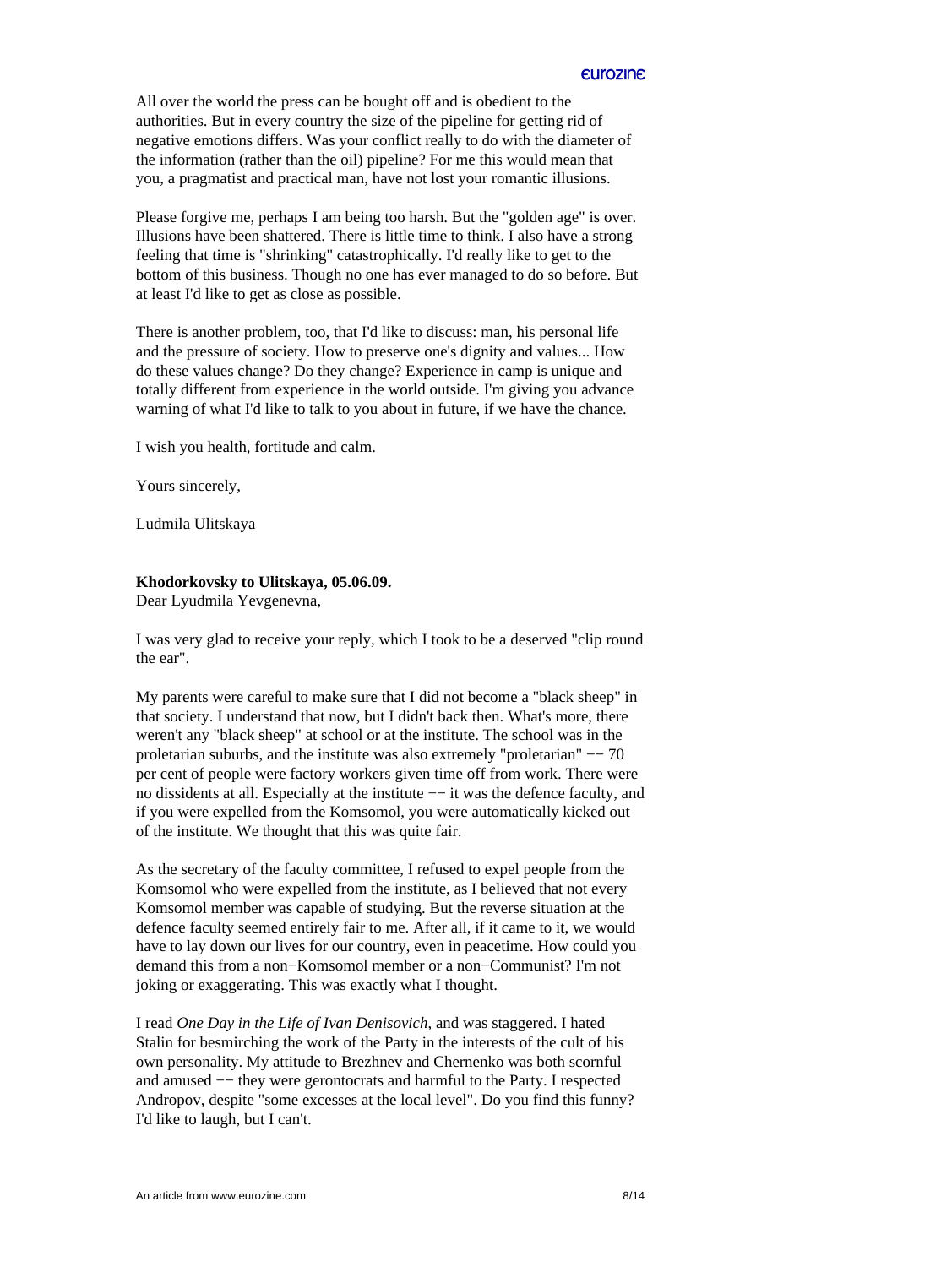All over the world the press can be bought off and is obedient to the authorities. But in every country the size of the pipeline for getting rid of negative emotions differs. Was your conflict really to do with the diameter of the information (rather than the oil) pipeline? For me this would mean that you, a pragmatist and practical man, have not lost your romantic illusions.

Please forgive me, perhaps I am being too harsh. But the "golden age" is over. Illusions have been shattered. There is little time to think. I also have a strong feeling that time is "shrinking" catastrophically. I'd really like to get to the bottom of this business. Though no one has ever managed to do so before. But at least I'd like to get as close as possible.

There is another problem, too, that I'd like to discuss: man, his personal life and the pressure of society. How to preserve one's dignity and values... How do these values change? Do they change? Experience in camp is unique and totally different from experience in the world outside. I'm giving you advance warning of what I'd like to talk to you about in future, if we have the chance.

I wish you health, fortitude and calm.

Yours sincerely,

Ludmila Ulitskaya

## **Khodorkovsky to Ulitskaya, 05.06.09.**

Dear Lyudmila Yevgenevna,

I was very glad to receive your reply, which I took to be a deserved "clip round the ear".

My parents were careful to make sure that I did not become a "black sheep" in that society. I understand that now, but I didn't back then. What's more, there weren't any "black sheep" at school or at the institute. The school was in the proletarian suburbs, and the institute was also extremely "proletarian" −− 70 per cent of people were factory workers given time off from work. There were no dissidents at all. Especially at the institute  $-−$  it was the defence faculty, and if you were expelled from the Komsomol, you were automatically kicked out of the institute. We thought that this was quite fair.

As the secretary of the faculty committee, I refused to expel people from the Komsomol who were expelled from the institute, as I believed that not every Komsomol member was capable of studying. But the reverse situation at the defence faculty seemed entirely fair to me. After all, if it came to it, we would have to lay down our lives for our country, even in peacetime. How could you demand this from a non−Komsomol member or a non−Communist? I'm not joking or exaggerating. This was exactly what I thought.

I read *One Day in the Life of Ivan Denisovich*, and was staggered. I hated Stalin for besmirching the work of the Party in the interests of the cult of his own personality. My attitude to Brezhnev and Chernenko was both scornful and amused −− they were gerontocrats and harmful to the Party. I respected Andropov, despite "some excesses at the local level". Do you find this funny? I'd like to laugh, but I can't.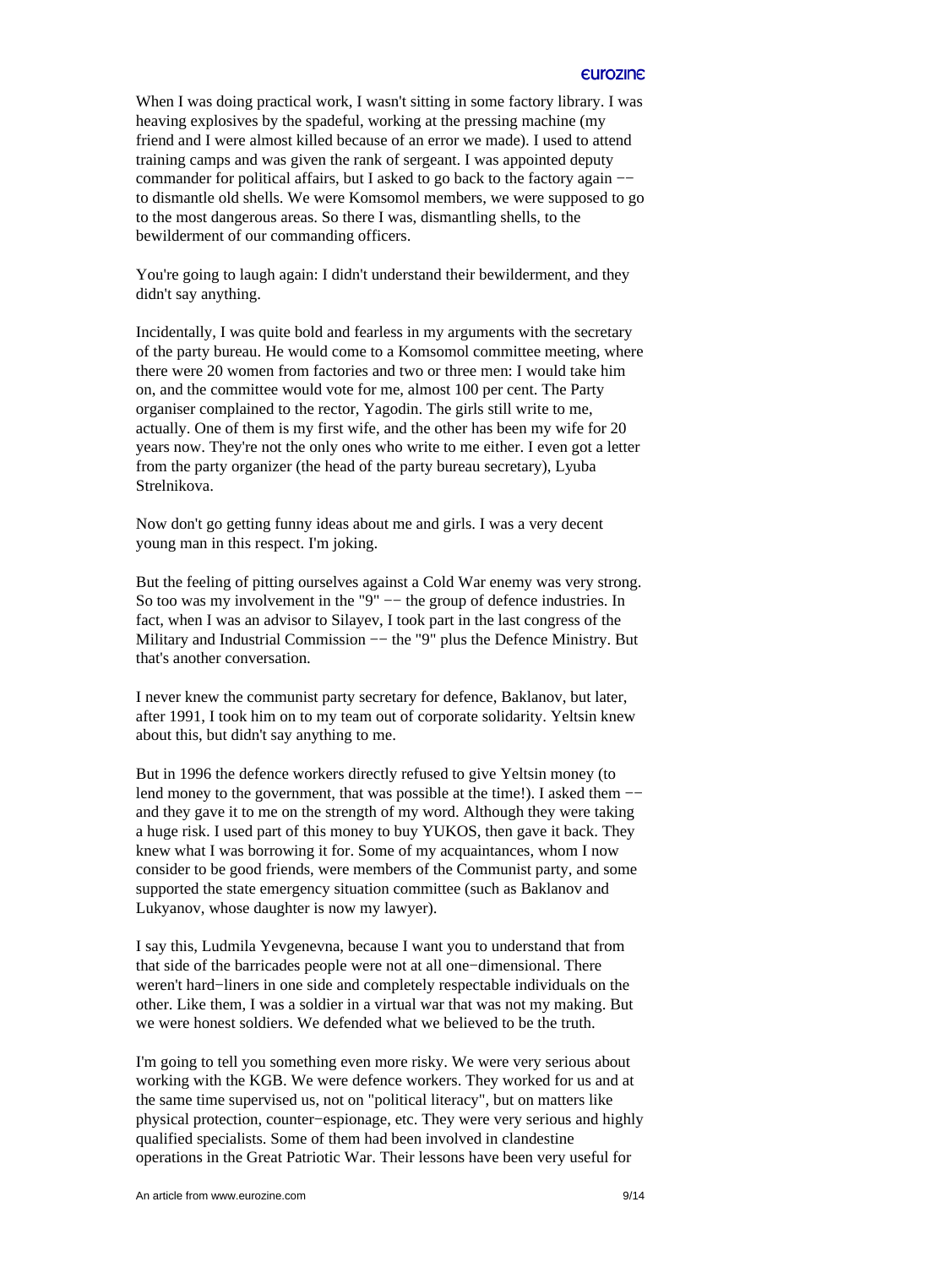When I was doing practical work, I wasn't sitting in some factory library. I was heaving explosives by the spadeful, working at the pressing machine (my friend and I were almost killed because of an error we made). I used to attend training camps and was given the rank of sergeant. I was appointed deputy commander for political affairs, but I asked to go back to the factory again −− to dismantle old shells. We were Komsomol members, we were supposed to go to the most dangerous areas. So there I was, dismantling shells, to the bewilderment of our commanding officers.

You're going to laugh again: I didn't understand their bewilderment, and they didn't say anything.

Incidentally, I was quite bold and fearless in my arguments with the secretary of the party bureau. He would come to a Komsomol committee meeting, where there were 20 women from factories and two or three men: I would take him on, and the committee would vote for me, almost 100 per cent. The Party organiser complained to the rector, Yagodin. The girls still write to me, actually. One of them is my first wife, and the other has been my wife for 20 years now. They're not the only ones who write to me either. I even got a letter from the party organizer (the head of the party bureau secretary), Lyuba Strelnikova.

Now don't go getting funny ideas about me and girls. I was a very decent young man in this respect. I'm joking.

But the feeling of pitting ourselves against a Cold War enemy was very strong. So too was my involvement in the "9" -- the group of defence industries. In fact, when I was an advisor to Silayev, I took part in the last congress of the Military and Industrial Commission -− the "9" plus the Defence Ministry. But that's another conversation.

I never knew the communist party secretary for defence, Baklanov, but later, after 1991, I took him on to my team out of corporate solidarity. Yeltsin knew about this, but didn't say anything to me.

But in 1996 the defence workers directly refused to give Yeltsin money (to lend money to the government, that was possible at the time!). I asked them −− and they gave it to me on the strength of my word. Although they were taking a huge risk. I used part of this money to buy YUKOS, then gave it back. They knew what I was borrowing it for. Some of my acquaintances, whom I now consider to be good friends, were members of the Communist party, and some supported the state emergency situation committee (such as Baklanov and Lukyanov, whose daughter is now my lawyer).

I say this, Ludmila Yevgenevna, because I want you to understand that from that side of the barricades people were not at all one−dimensional. There weren't hard−liners in one side and completely respectable individuals on the other. Like them, I was a soldier in a virtual war that was not my making. But we were honest soldiers. We defended what we believed to be the truth.

I'm going to tell you something even more risky. We were very serious about working with the KGB. We were defence workers. They worked for us and at the same time supervised us, not on "political literacy", but on matters like physical protection, counter−espionage, etc. They were very serious and highly qualified specialists. Some of them had been involved in clandestine operations in the Great Patriotic War. Their lessons have been very useful for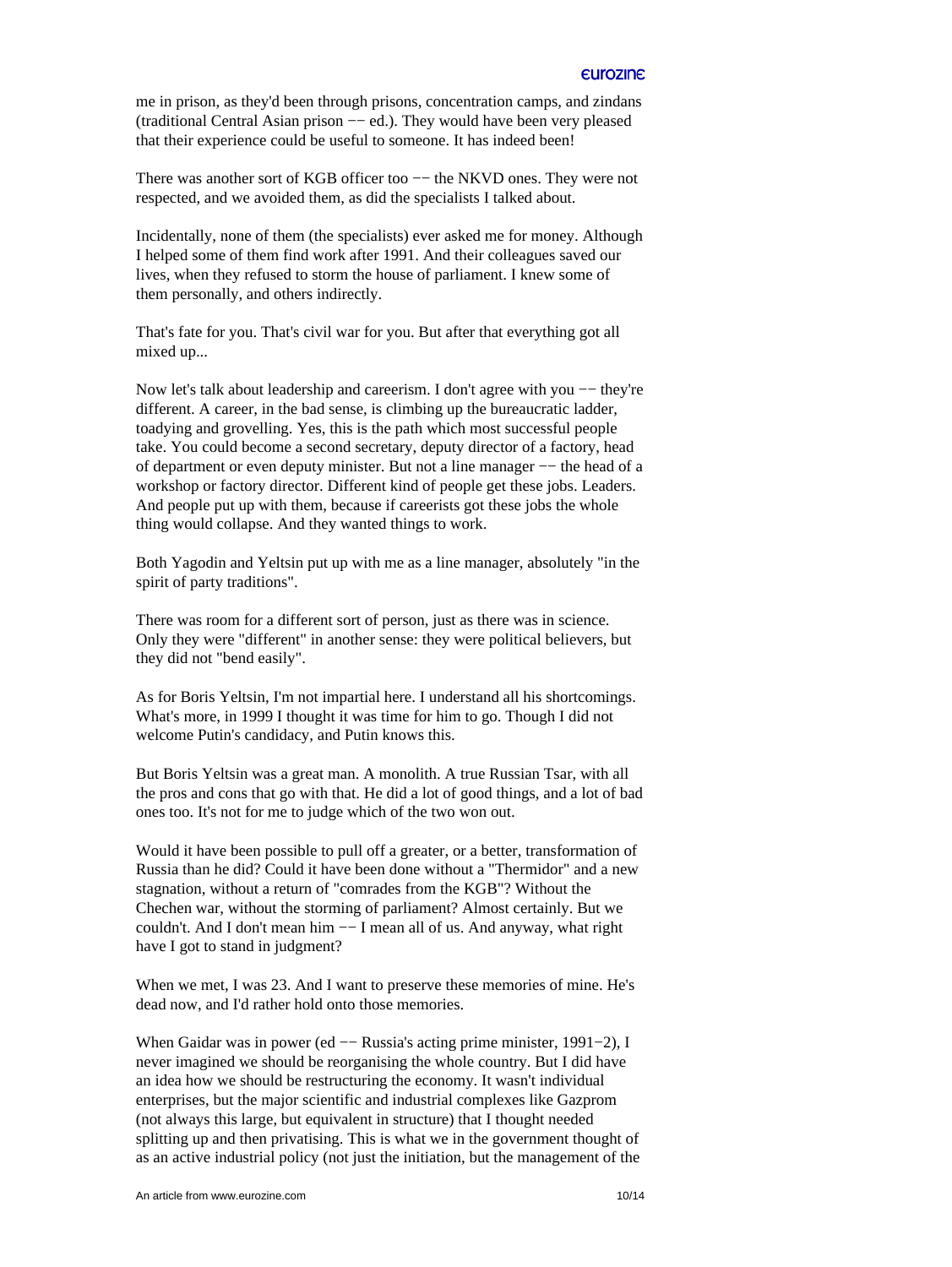me in prison, as they'd been through prisons, concentration camps, and zindans (traditional Central Asian prison −− ed.). They would have been very pleased that their experience could be useful to someone. It has indeed been!

There was another sort of KGB officer too -− the NKVD ones. They were not respected, and we avoided them, as did the specialists I talked about.

Incidentally, none of them (the specialists) ever asked me for money. Although I helped some of them find work after 1991. And their colleagues saved our lives, when they refused to storm the house of parliament. I knew some of them personally, and others indirectly.

That's fate for you. That's civil war for you. But after that everything got all mixed up...

Now let's talk about leadership and careerism. I don't agree with you — they're different. A career, in the bad sense, is climbing up the bureaucratic ladder, toadying and grovelling. Yes, this is the path which most successful people take. You could become a second secretary, deputy director of a factory, head of department or even deputy minister. But not a line manager −− the head of a workshop or factory director. Different kind of people get these jobs. Leaders. And people put up with them, because if careerists got these jobs the whole thing would collapse. And they wanted things to work.

Both Yagodin and Yeltsin put up with me as a line manager, absolutely "in the spirit of party traditions".

There was room for a different sort of person, just as there was in science. Only they were "different" in another sense: they were political believers, but they did not "bend easily".

As for Boris Yeltsin, I'm not impartial here. I understand all his shortcomings. What's more, in 1999 I thought it was time for him to go. Though I did not welcome Putin's candidacy, and Putin knows this.

But Boris Yeltsin was a great man. A monolith. A true Russian Tsar, with all the pros and cons that go with that. He did a lot of good things, and a lot of bad ones too. It's not for me to judge which of the two won out.

Would it have been possible to pull off a greater, or a better, transformation of Russia than he did? Could it have been done without a "Thermidor" and a new stagnation, without a return of "comrades from the KGB"? Without the Chechen war, without the storming of parliament? Almost certainly. But we couldn't. And I don't mean him −− I mean all of us. And anyway, what right have I got to stand in judgment?

When we met, I was 23. And I want to preserve these memories of mine. He's dead now, and I'd rather hold onto those memories.

When Gaidar was in power (ed −− Russia's acting prime minister, 1991–2), I never imagined we should be reorganising the whole country. But I did have an idea how we should be restructuring the economy. It wasn't individual enterprises, but the major scientific and industrial complexes like Gazprom (not always this large, but equivalent in structure) that I thought needed splitting up and then privatising. This is what we in the government thought of as an active industrial policy (not just the initiation, but the management of the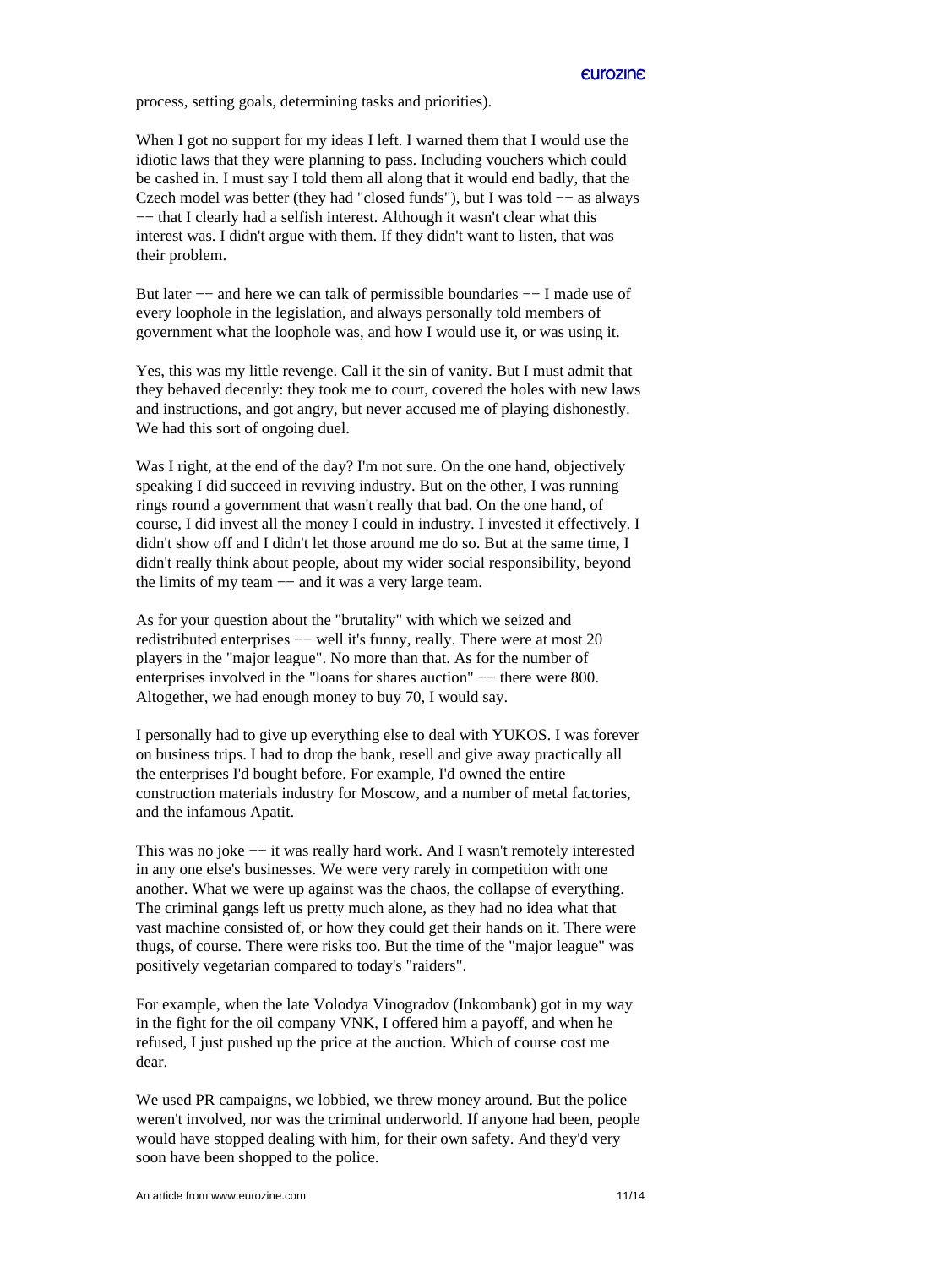process, setting goals, determining tasks and priorities).

When I got no support for my ideas I left. I warned them that I would use the idiotic laws that they were planning to pass. Including vouchers which could be cashed in. I must say I told them all along that it would end badly, that the Czech model was better (they had "closed funds"), but I was told −− as always −− that I clearly had a selfish interest. Although it wasn't clear what this interest was. I didn't argue with them. If they didn't want to listen, that was their problem.

But later −− and here we can talk of permissible boundaries −− I made use of every loophole in the legislation, and always personally told members of government what the loophole was, and how I would use it, or was using it.

Yes, this was my little revenge. Call it the sin of vanity. But I must admit that they behaved decently: they took me to court, covered the holes with new laws and instructions, and got angry, but never accused me of playing dishonestly. We had this sort of ongoing duel.

Was I right, at the end of the day? I'm not sure. On the one hand, objectively speaking I did succeed in reviving industry. But on the other, I was running rings round a government that wasn't really that bad. On the one hand, of course, I did invest all the money I could in industry. I invested it effectively. I didn't show off and I didn't let those around me do so. But at the same time, I didn't really think about people, about my wider social responsibility, beyond the limits of my team −− and it was a very large team.

As for your question about the "brutality" with which we seized and redistributed enterprises −− well it's funny, really. There were at most 20 players in the "major league". No more than that. As for the number of enterprises involved in the "loans for shares auction" -− there were 800. Altogether, we had enough money to buy 70, I would say.

I personally had to give up everything else to deal with YUKOS. I was forever on business trips. I had to drop the bank, resell and give away practically all the enterprises I'd bought before. For example, I'd owned the entire construction materials industry for Moscow, and a number of metal factories, and the infamous Apatit.

This was no joke −− it was really hard work. And I wasn't remotely interested in any one else's businesses. We were very rarely in competition with one another. What we were up against was the chaos, the collapse of everything. The criminal gangs left us pretty much alone, as they had no idea what that vast machine consisted of, or how they could get their hands on it. There were thugs, of course. There were risks too. But the time of the "major league" was positively vegetarian compared to today's "raiders".

For example, when the late Volodya Vinogradov (Inkombank) got in my way in the fight for the oil company VNK, I offered him a payoff, and when he refused, I just pushed up the price at the auction. Which of course cost me dear.

We used PR campaigns, we lobbied, we threw money around. But the police weren't involved, nor was the criminal underworld. If anyone had been, people would have stopped dealing with him, for their own safety. And they'd very soon have been shopped to the police.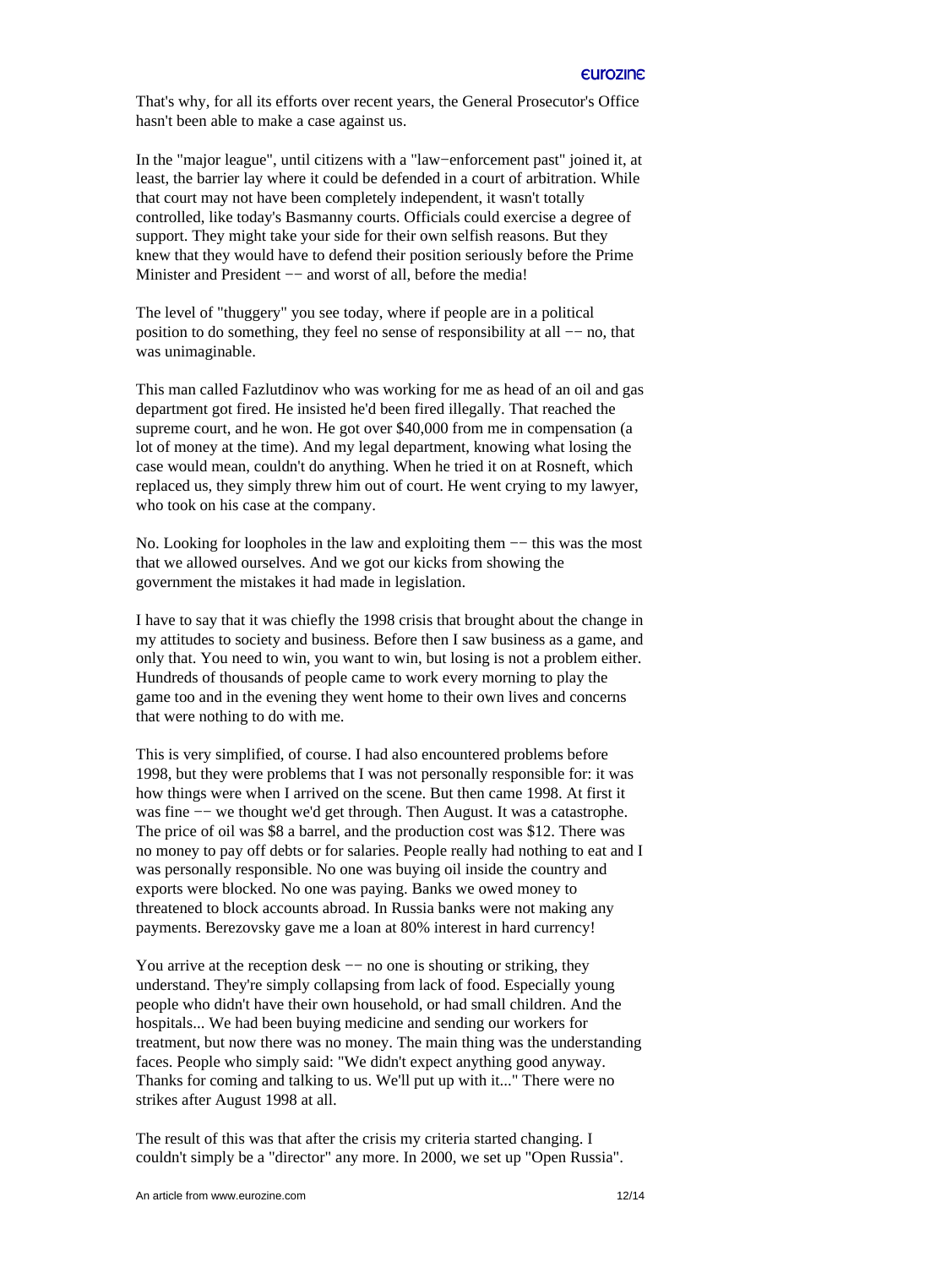That's why, for all its efforts over recent years, the General Prosecutor's Office hasn't been able to make a case against us.

In the "major league", until citizens with a "law−enforcement past" joined it, at least, the barrier lay where it could be defended in a court of arbitration. While that court may not have been completely independent, it wasn't totally controlled, like today's Basmanny courts. Officials could exercise a degree of support. They might take your side for their own selfish reasons. But they knew that they would have to defend their position seriously before the Prime Minister and President −− and worst of all, before the media!

The level of "thuggery" you see today, where if people are in a political position to do something, they feel no sense of responsibility at all −− no, that was unimaginable.

This man called Fazlutdinov who was working for me as head of an oil and gas department got fired. He insisted he'd been fired illegally. That reached the supreme court, and he won. He got over \$40,000 from me in compensation (a lot of money at the time). And my legal department, knowing what losing the case would mean, couldn't do anything. When he tried it on at Rosneft, which replaced us, they simply threw him out of court. He went crying to my lawyer, who took on his case at the company.

No. Looking for loopholes in the law and exploiting them −− this was the most that we allowed ourselves. And we got our kicks from showing the government the mistakes it had made in legislation.

I have to say that it was chiefly the 1998 crisis that brought about the change in my attitudes to society and business. Before then I saw business as a game, and only that. You need to win, you want to win, but losing is not a problem either. Hundreds of thousands of people came to work every morning to play the game too and in the evening they went home to their own lives and concerns that were nothing to do with me.

This is very simplified, of course. I had also encountered problems before 1998, but they were problems that I was not personally responsible for: it was how things were when I arrived on the scene. But then came 1998. At first it was fine −− we thought we'd get through. Then August. It was a catastrophe. The price of oil was \$8 a barrel, and the production cost was \$12. There was no money to pay off debts or for salaries. People really had nothing to eat and I was personally responsible. No one was buying oil inside the country and exports were blocked. No one was paying. Banks we owed money to threatened to block accounts abroad. In Russia banks were not making any payments. Berezovsky gave me a loan at 80% interest in hard currency!

You arrive at the reception desk −− no one is shouting or striking, they understand. They're simply collapsing from lack of food. Especially young people who didn't have their own household, or had small children. And the hospitals... We had been buying medicine and sending our workers for treatment, but now there was no money. The main thing was the understanding faces. People who simply said: "We didn't expect anything good anyway. Thanks for coming and talking to us. We'll put up with it..." There were no strikes after August 1998 at all.

The result of this was that after the crisis my criteria started changing. I couldn't simply be a "director" any more. In 2000, we set up "Open Russia".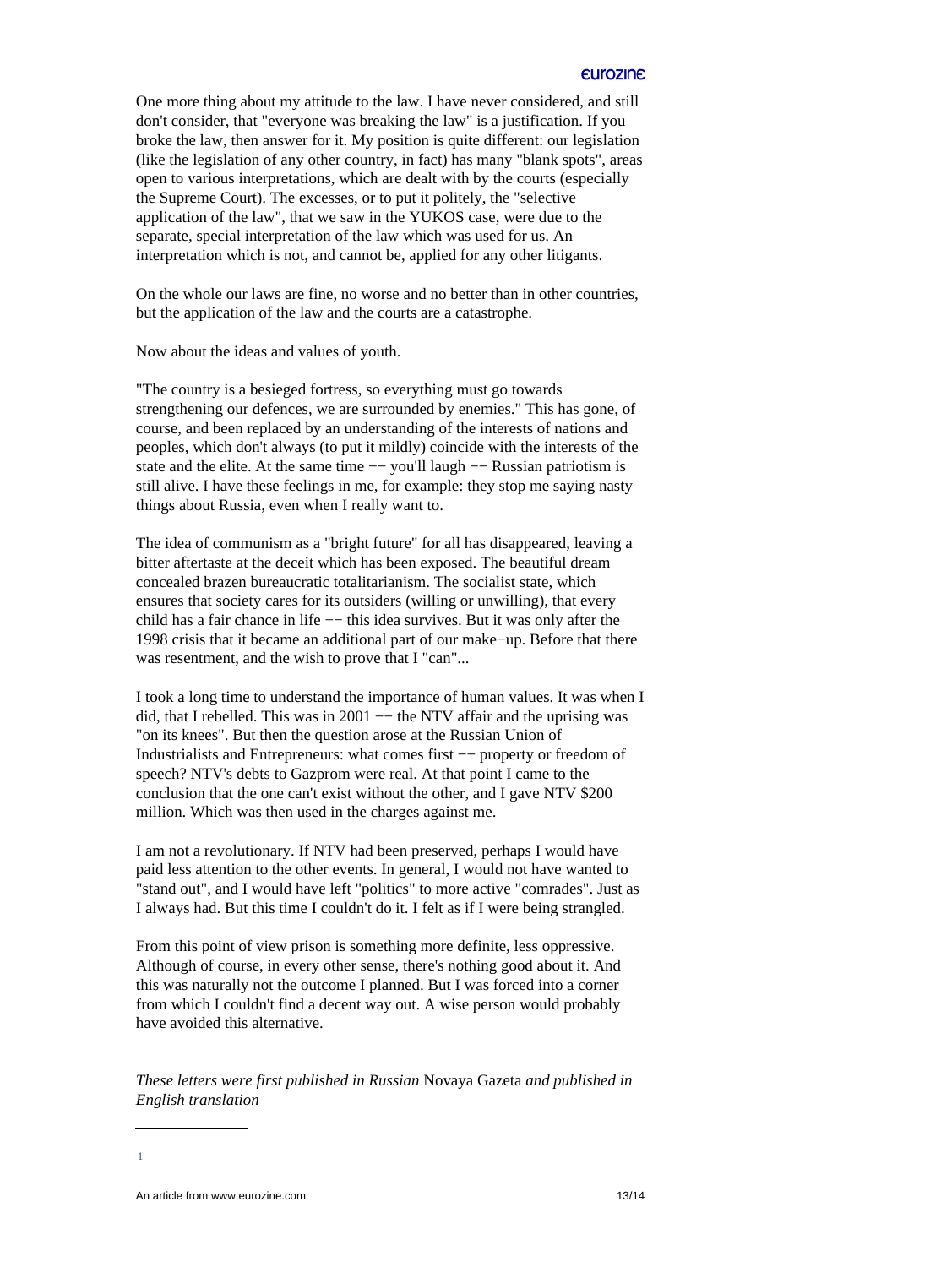One more thing about my attitude to the law. I have never considered, and still don't consider, that "everyone was breaking the law" is a justification. If you broke the law, then answer for it. My position is quite different: our legislation (like the legislation of any other country, in fact) has many "blank spots", areas open to various interpretations, which are dealt with by the courts (especially the Supreme Court). The excesses, or to put it politely, the "selective application of the law", that we saw in the YUKOS case, were due to the separate, special interpretation of the law which was used for us. An interpretation which is not, and cannot be, applied for any other litigants.

On the whole our laws are fine, no worse and no better than in other countries, but the application of the law and the courts are a catastrophe.

Now about the ideas and values of youth.

"The country is a besieged fortress, so everything must go towards strengthening our defences, we are surrounded by enemies." This has gone, of course, and been replaced by an understanding of the interests of nations and peoples, which don't always (to put it mildly) coincide with the interests of the state and the elite. At the same time -- you'll laugh -- Russian patriotism is still alive. I have these feelings in me, for example: they stop me saying nasty things about Russia, even when I really want to.

The idea of communism as a "bright future" for all has disappeared, leaving a bitter aftertaste at the deceit which has been exposed. The beautiful dream concealed brazen bureaucratic totalitarianism. The socialist state, which ensures that society cares for its outsiders (willing or unwilling), that every child has a fair chance in life −− this idea survives. But it was only after the 1998 crisis that it became an additional part of our make−up. Before that there was resentment, and the wish to prove that I "can"...

I took a long time to understand the importance of human values. It was when I did, that I rebelled. This was in 2001 −− the NTV affair and the uprising was "on its knees". But then the question arose at the Russian Union of Industrialists and Entrepreneurs: what comes first −− property or freedom of speech? NTV's debts to Gazprom were real. At that point I came to the conclusion that the one can't exist without the other, and I gave NTV \$200 million. Which was then used in the charges against me.

I am not a revolutionary. If NTV had been preserved, perhaps I would have paid less attention to the other events. In general, I would not have wanted to "stand out", and I would have left "politics" to more active "comrades". Just as I always had. But this time I couldn't do it. I felt as if I were being strangled.

From this point of view prison is something more definite, less oppressive. Although of course, in every other sense, there's nothing good about it. And this was naturally not the outcome I planned. But I was forced into a corner from which I couldn't find a decent way out. A wise person would probably have avoided this alternative.

*These letters were first published in Russian* Novaya Gazeta *and published in English translation* 

<span id="page-12-0"></span>[1](#page-0-0)

An article from www.eurozine.com 13/14